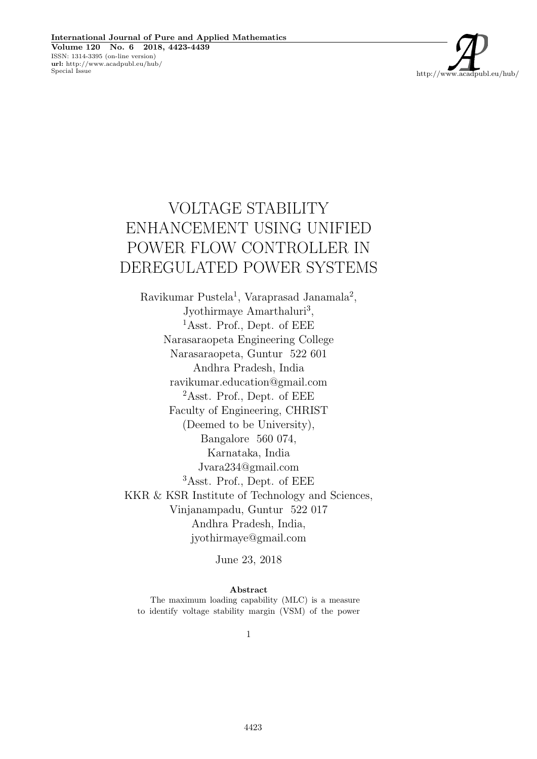

# VOLTAGE STABILITY ENHANCEMENT USING UNIFIED POWER FLOW CONTROLLER IN DEREGULATED POWER SYSTEMS

Ravikumar Pustela<sup>1</sup>, Varaprasad Janamala<sup>2</sup>, Jyothirmaye Amarthaluri<sup>3</sup>, <sup>1</sup>Asst. Prof., Dept. of EEE Narasaraopeta Engineering College Narasaraopeta, Guntur 522 601 Andhra Pradesh, India ravikumar.education@gmail.com <sup>2</sup>Asst. Prof., Dept. of EEE Faculty of Engineering, CHRIST (Deemed to be University), Bangalore 560 074, Karnataka, India Jvara234@gmail.com <sup>3</sup>Asst. Prof., Dept. of EEE KKR & KSR Institute of Technology and Sciences, Vinjanampadu, Guntur 522 017 Andhra Pradesh, India, jyothirmaye@gmail.com

June 23, 2018

Abstract

The maximum loading capability (MLC) is a measure to identify voltage stability margin (VSM) of the power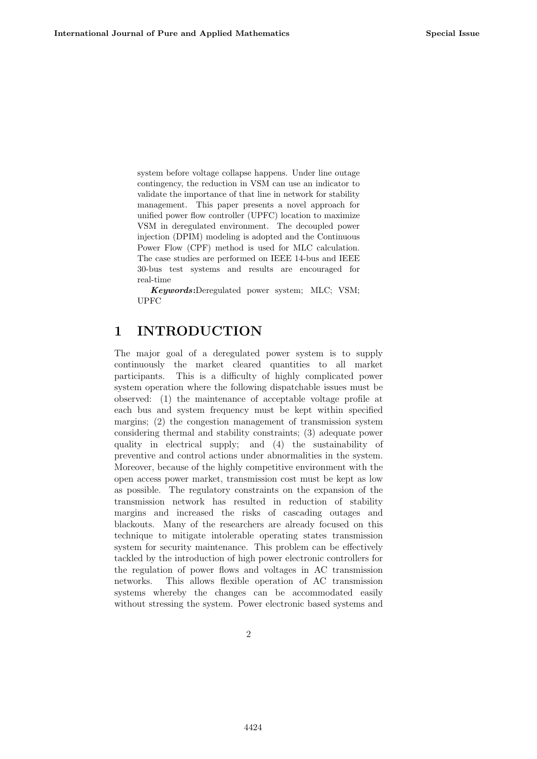system before voltage collapse happens. Under line outage contingency, the reduction in VSM can use an indicator to validate the importance of that line in network for stability management. This paper presents a novel approach for unified power flow controller (UPFC) location to maximize VSM in deregulated environment. The decoupled power injection (DPIM) modeling is adopted and the Continuous Power Flow (CPF) method is used for MLC calculation. The case studies are performed on IEEE 14-bus and IEEE 30-bus test systems and results are encouraged for real-time

Keywords:Deregulated power system; MLC; VSM; UPFC

# 1 INTRODUCTION

The major goal of a deregulated power system is to supply continuously the market cleared quantities to all market participants. This is a difficulty of highly complicated power system operation where the following dispatchable issues must be observed: (1) the maintenance of acceptable voltage profile at each bus and system frequency must be kept within specified margins; (2) the congestion management of transmission system considering thermal and stability constraints; (3) adequate power quality in electrical supply; and (4) the sustainability of preventive and control actions under abnormalities in the system. Moreover, because of the highly competitive environment with the open access power market, transmission cost must be kept as low as possible. The regulatory constraints on the expansion of the transmission network has resulted in reduction of stability margins and increased the risks of cascading outages and blackouts. Many of the researchers are already focused on this technique to mitigate intolerable operating states transmission system for security maintenance. This problem can be effectively tackled by the introduction of high power electronic controllers for the regulation of power flows and voltages in AC transmission networks. This allows flexible operation of AC transmission systems whereby the changes can be accommodated easily without stressing the system. Power electronic based systems and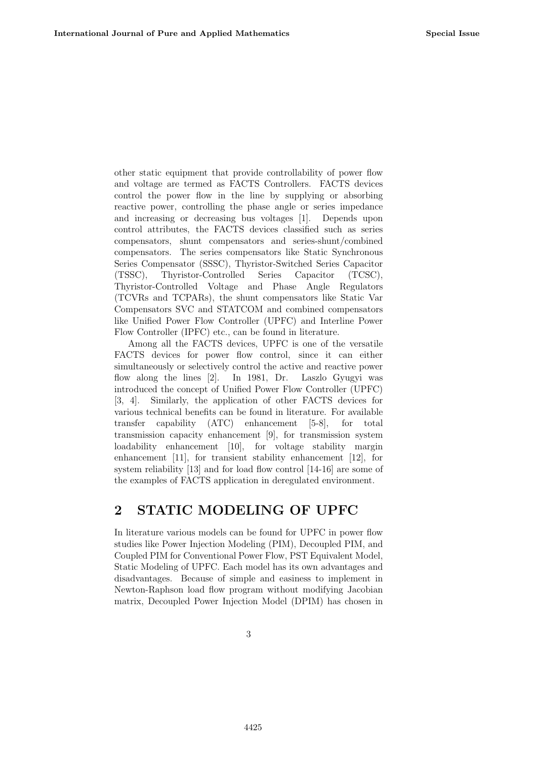other static equipment that provide controllability of power flow and voltage are termed as FACTS Controllers. FACTS devices control the power flow in the line by supplying or absorbing reactive power, controlling the phase angle or series impedance and increasing or decreasing bus voltages [1]. Depends upon control attributes, the FACTS devices classified such as series compensators, shunt compensators and series-shunt/combined compensators. The series compensators like Static Synchronous Series Compensator (SSSC), Thyristor-Switched Series Capacitor (TSSC), Thyristor-Controlled Series Capacitor (TCSC), Thyristor-Controlled Voltage and Phase Angle Regulators (TCVRs and TCPARs), the shunt compensators like Static Var Compensators SVC and STATCOM and combined compensators like Unified Power Flow Controller (UPFC) and Interline Power Flow Controller (IPFC) etc., can be found in literature.

Among all the FACTS devices, UPFC is one of the versatile FACTS devices for power flow control, since it can either simultaneously or selectively control the active and reactive power flow along the lines [2]. In 1981, Dr. Laszlo Gyugyi was introduced the concept of Unified Power Flow Controller (UPFC) [3, 4]. Similarly, the application of other FACTS devices for various technical benefits can be found in literature. For available transfer capability (ATC) enhancement [5-8], for total transmission capacity enhancement [9], for transmission system loadability enhancement [10], for voltage stability margin enhancement [11], for transient stability enhancement [12], for system reliability [13] and for load flow control [14-16] are some of the examples of FACTS application in deregulated environment.

### 2 STATIC MODELING OF UPFC

In literature various models can be found for UPFC in power flow studies like Power Injection Modeling (PIM), Decoupled PIM, and Coupled PIM for Conventional Power Flow, PST Equivalent Model, Static Modeling of UPFC. Each model has its own advantages and disadvantages. Because of simple and easiness to implement in Newton-Raphson load flow program without modifying Jacobian matrix, Decoupled Power Injection Model (DPIM) has chosen in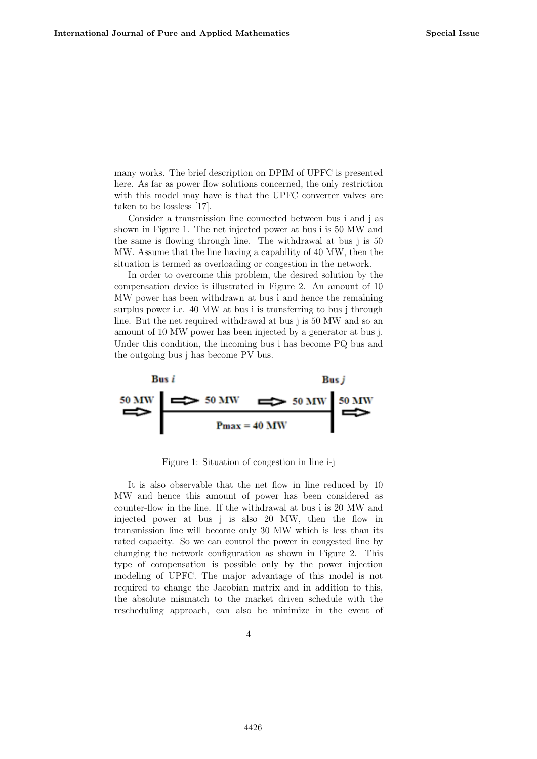many works. The brief description on DPIM of UPFC is presented here. As far as power flow solutions concerned, the only restriction with this model may have is that the UPFC converter valves are taken to be lossless [17].

Consider a transmission line connected between bus i and j as shown in Figure 1. The net injected power at bus i is 50 MW and the same is flowing through line. The withdrawal at bus j is 50 MW. Assume that the line having a capability of 40 MW, then the situation is termed as overloading or congestion in the network.

In order to overcome this problem, the desired solution by the compensation device is illustrated in Figure 2. An amount of 10 MW power has been withdrawn at bus i and hence the remaining surplus power i.e. 40 MW at bus i is transferring to bus j through line. But the net required withdrawal at bus j is 50 MW and so an amount of 10 MW power has been injected by a generator at bus j. Under this condition, the incoming bus i has become PQ bus and the outgoing bus j has become PV bus.



Figure 1: Situation of congestion in line i-j

It is also observable that the net flow in line reduced by 10 MW and hence this amount of power has been considered as counter-flow in the line. If the withdrawal at bus i is 20 MW and injected power at bus j is also 20 MW, then the flow in transmission line will become only 30 MW which is less than its rated capacity. So we can control the power in congested line by changing the network configuration as shown in Figure 2. This type of compensation is possible only by the power injection modeling of UPFC. The major advantage of this model is not required to change the Jacobian matrix and in addition to this, the absolute mismatch to the market driven schedule with the rescheduling approach, can also be minimize in the event of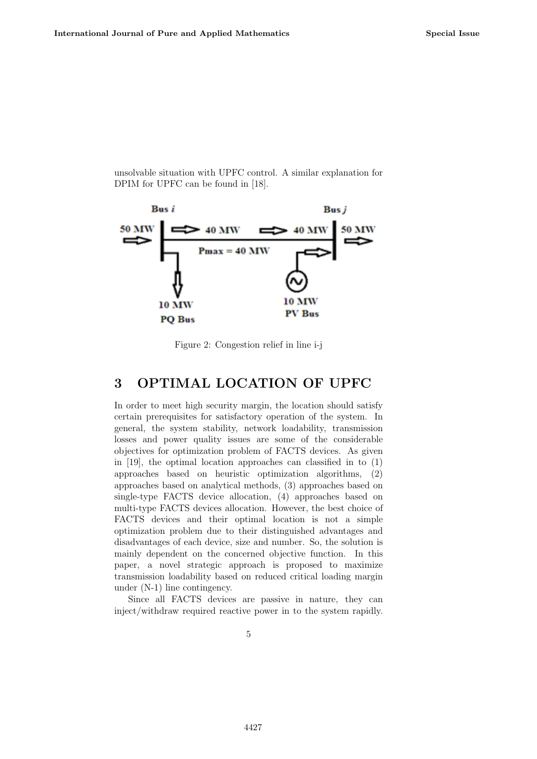unsolvable situation with UPFC control. A similar explanation for DPIM for UPFC can be found in [18].



Figure 2: Congestion relief in line i-j

# 3 OPTIMAL LOCATION OF UPFC

In order to meet high security margin, the location should satisfy certain prerequisites for satisfactory operation of the system. In general, the system stability, network loadability, transmission losses and power quality issues are some of the considerable objectives for optimization problem of FACTS devices. As given in [19], the optimal location approaches can classified in to (1) approaches based on heuristic optimization algorithms, (2) approaches based on analytical methods, (3) approaches based on single-type FACTS device allocation, (4) approaches based on multi-type FACTS devices allocation. However, the best choice of FACTS devices and their optimal location is not a simple optimization problem due to their distinguished advantages and disadvantages of each device, size and number. So, the solution is mainly dependent on the concerned objective function. In this paper, a novel strategic approach is proposed to maximize transmission loadability based on reduced critical loading margin under (N-1) line contingency.

Since all FACTS devices are passive in nature, they can inject/withdraw required reactive power in to the system rapidly.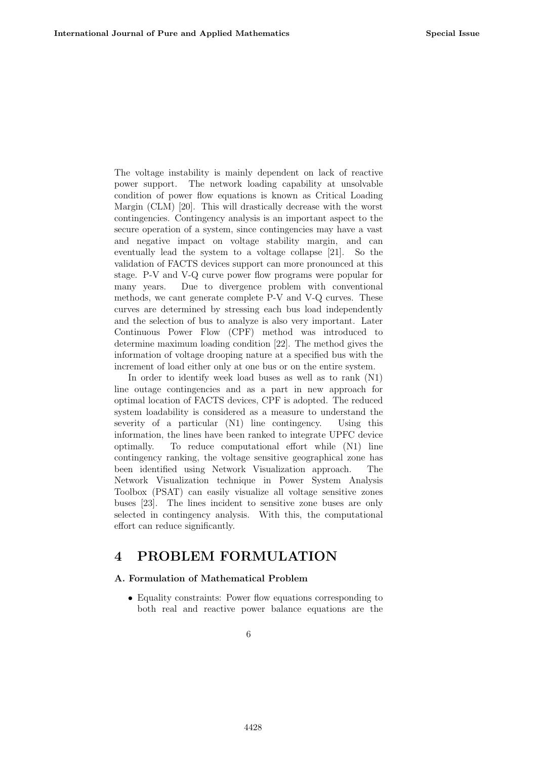The voltage instability is mainly dependent on lack of reactive power support. The network loading capability at unsolvable condition of power flow equations is known as Critical Loading Margin (CLM) [20]. This will drastically decrease with the worst contingencies. Contingency analysis is an important aspect to the secure operation of a system, since contingencies may have a vast and negative impact on voltage stability margin, and can eventually lead the system to a voltage collapse [21]. So the validation of FACTS devices support can more pronounced at this stage. P-V and V-Q curve power flow programs were popular for many years. Due to divergence problem with conventional methods, we cant generate complete P-V and V-Q curves. These curves are determined by stressing each bus load independently and the selection of bus to analyze is also very important. Later Continuous Power Flow (CPF) method was introduced to determine maximum loading condition [22]. The method gives the information of voltage drooping nature at a specified bus with the increment of load either only at one bus or on the entire system.

In order to identify week load buses as well as to rank (N1) line outage contingencies and as a part in new approach for optimal location of FACTS devices, CPF is adopted. The reduced system loadability is considered as a measure to understand the severity of a particular  $(N1)$  line contingency. Using this information, the lines have been ranked to integrate UPFC device optimally. To reduce computational effort while (N1) line contingency ranking, the voltage sensitive geographical zone has been identified using Network Visualization approach. The Network Visualization technique in Power System Analysis Toolbox (PSAT) can easily visualize all voltage sensitive zones buses [23]. The lines incident to sensitive zone buses are only selected in contingency analysis. With this, the computational effort can reduce significantly.

### 4 PROBLEM FORMULATION

#### A. Formulation of Mathematical Problem

• Equality constraints: Power flow equations corresponding to both real and reactive power balance equations are the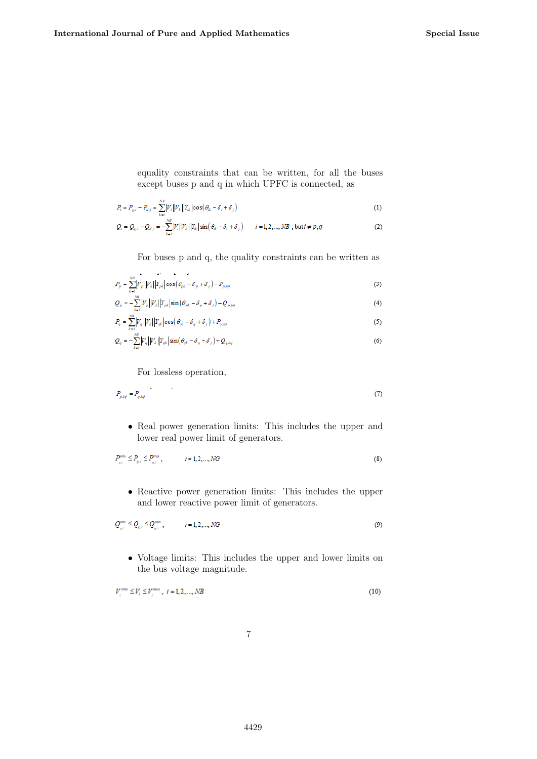equality constraints that can be written, for all the buses except buses p and q in which UPFC is connected, as

$$
P_i = P_{g,i} - P_{d,i} = \sum_{k=1}^{N_B} |V_i| |V_k| |\text{res}(\theta_k - \delta_i + \delta_j)| \tag{1}
$$

$$
Q_i = Q_{g,i} - Q_{d,i} = -\sum_{k=1}^{N} |V_i||V_k||\mathbf{I}_{ik}|\sin(\theta_{ik} - \delta_i + \delta_j) \qquad i = 1, 2, ..., NB \; ; \; \text{but } i \neq p, q \tag{2}
$$

For buses p and q, the quality constraints can be written as

$$
P_p = \sum_{k=1}^{NR} \left| V_p \right| \left| V_k \right| \left| Y_{pk} \right| \cos \left( \theta_{pk} - \delta_p + \delta_j \right) - P_{p,ing} \tag{3}
$$

$$
Q_{p} = -\sum_{k=1}^{N_{\text{eff}}} \left| V_{\mu} \right| \left| Y_{\mu k} \right| \sin \left( \theta_{\mu k} - \delta_{p} + \delta_{j} \right) - Q_{p, \text{inf}} \tag{4}
$$

$$
P_q = \sum_{k=1}^{\infty} |V_q||V_k||\mathbf{r}_{q,k}|\cos(\theta_{q,k} - \delta_q + \delta_f) + P_{q, \text{log}} \tag{5}
$$

$$
Q_q = -\sum_{k=1}^{N} |V_q||V_k||_{qk} \sin(\theta_{qk} - \delta_q + \delta_f) + Q_{q, log} \tag{6}
$$

For lossless operation,

$$
P_{p,ig} = P_{q,ig} \tag{7}
$$

• Real power generation limits: This includes the upper and lower real power limit of generators.

$$
P_{s,i}^{\min} \le P_{g,i} \le P_{s,i}^{\max}, \qquad i = 1, 2, ..., NG
$$
 (8)

• Reactive power generation limits: This includes the upper and lower reactive power limit of generators.

$$
Q_{\scriptscriptstyle g,i}^{\scriptscriptstyle \min} \leq Q_{\scriptscriptstyle g,i} \leq Q_{\scriptscriptstyle g,i}^{\scriptscriptstyle \max} \,, \qquad i = 1, 2, ..., NG \tag{9}
$$

• Voltage limits: This includes the upper and lower limits on the bus voltage magnitude.

$$
V_i^{\min} \le V_i \le V_i^{\max}, \quad i = 1, 2, ..., NB
$$
\n(10)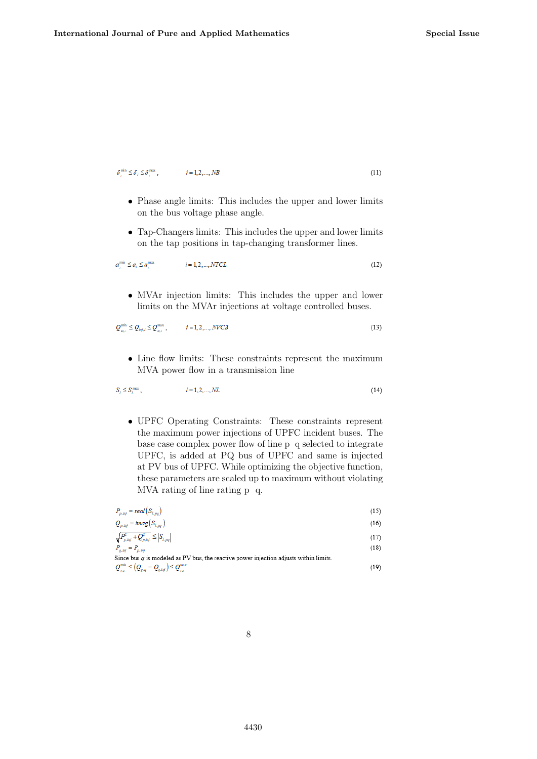$\delta^{\min}_{i} \leq \delta_i \leq \delta^{\max}_{i}$  ,  $i = 1, 2, ..., NB$ 

$$
(11)
$$

- Phase angle limits: This includes the upper and lower limits on the bus voltage phase angle.
- Tap-Changers limits: This includes the upper and lower limits on the tap positions in tap-changing transformer lines.

$$
a_i^{\min} \le a_i \le a_i^{\max} \qquad i = 1, 2, \dots, NTCL \tag{12}
$$

• MVAr injection limits: This includes the upper and lower limits on the MVAr injections at voltage controlled buses.

$$
Q_{\text{init}}^{\min} \leq Q_{\text{init}} \leq Q_{\text{init}}^{\max}, \qquad i = 1, 2, ..., NUCB \tag{13}
$$

• Line flow limits: These constraints represent the maximum MVA power flow in a transmission line

$$
S_i \le S_i^{\max}, \qquad \qquad l = 1, 2, \dots, NL \tag{14}
$$

• UPFC Operating Constraints: These constraints represent the maximum power injections of UPFC incident buses. The base case complex power flow of line p q selected to integrate UPFC, is added at PQ bus of UPFC and same is injected at PV bus of UPFC. While optimizing the objective function, these parameters are scaled up to maximum without violating MVA rating of line rating p q.

| $P_{p, inj} = real(S_{l, pq})$      | (15) |
|-------------------------------------|------|
| $\Omega = \text{imod}(\mathcal{S})$ | (16) |

$$
Q_{p, inj} = imag(S_{l, pq}) \tag{16}
$$

$$
\begin{aligned} \sqrt{P_{p, \text{inj}}^2 + Q_{p, \text{inj}}^2} &\le \left| S_{l, \text{p},q} \right| \end{aligned} \tag{17}
$$

```
Since bus q is modeled as PV bus, the reactive power injection adjusts within limits.
Q_{_{g,q}}^{\min } \leq \left( Q_{_{g,q}} = Q_{_{q,ig}} \right) \leq Q_{_{g,q}}^{\max }(19)
```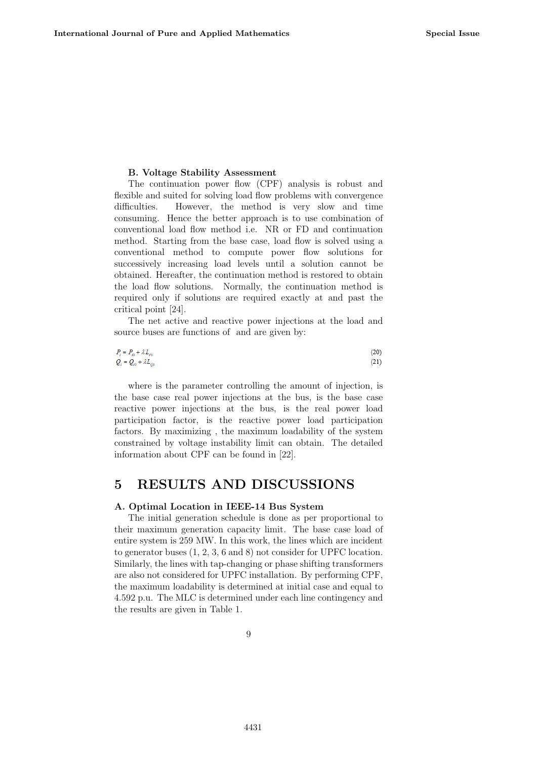#### B. Voltage Stability Assessment

The continuation power flow (CPF) analysis is robust and flexible and suited for solving load flow problems with convergence difficulties. However, the method is very slow and time consuming. Hence the better approach is to use combination of conventional load flow method i.e. NR or FD and continuation method. Starting from the base case, load flow is solved using a conventional method to compute power flow solutions for successively increasing load levels until a solution cannot be obtained. Hereafter, the continuation method is restored to obtain the load flow solutions. Normally, the continuation method is required only if solutions are required exactly at and past the critical point [24].

The net active and reactive power injections at the load and source buses are functions of and are given by:

$$
P_i = P_{i0} + \lambda L_{i0}
$$
  
\n
$$
Q_i = Q_{i0} + \lambda L_{i0}
$$
\n(20)

where is the parameter controlling the amount of injection, is the base case real power injections at the bus, is the base case reactive power injections at the bus, is the real power load participation factor, is the reactive power load participation factors. By maximizing , the maximum loadability of the system constrained by voltage instability limit can obtain. The detailed information about CPF can be found in [22].

### 5 RESULTS AND DISCUSSIONS

#### A. Optimal Location in IEEE-14 Bus System

The initial generation schedule is done as per proportional to their maximum generation capacity limit. The base case load of entire system is 259 MW. In this work, the lines which are incident to generator buses (1, 2, 3, 6 and 8) not consider for UPFC location. Similarly, the lines with tap-changing or phase shifting transformers are also not considered for UPFC installation. By performing CPF, the maximum loadability is determined at initial case and equal to 4.592 p.u. The MLC is determined under each line contingency and the results are given in Table 1.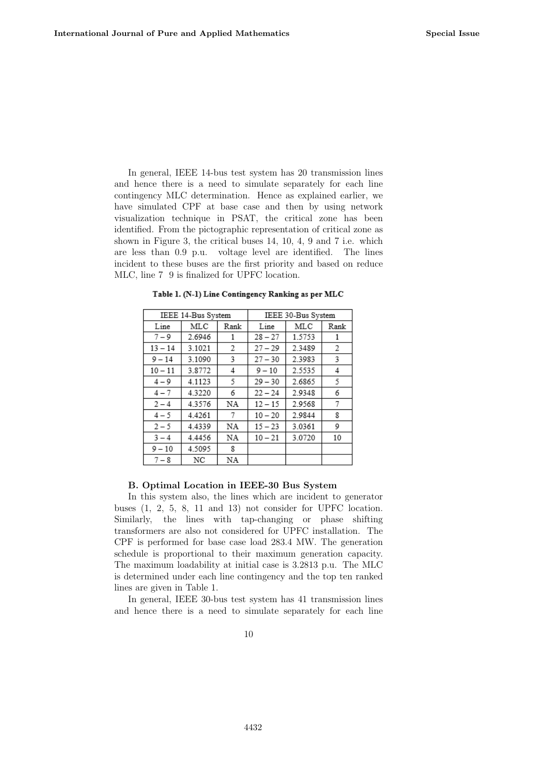In general, IEEE 14-bus test system has 20 transmission lines and hence there is a need to simulate separately for each line contingency MLC determination. Hence as explained earlier, we have simulated CPF at base case and then by using network visualization technique in PSAT, the critical zone has been identified. From the pictographic representation of critical zone as shown in Figure 3, the critical buses 14, 10, 4, 9 and 7 i.e. which are less than 0.9 p.u. voltage level are identified. The lines incident to these buses are the first priority and based on reduce MLC, line 7 9 is finalized for UPFC location.

| IEEE 14-Bus System |        |      | IEEE 30-Bus System |        |      |  |
|--------------------|--------|------|--------------------|--------|------|--|
| Line               | MLC    | Rank | Line               | MLC    | Rank |  |
| $7 - 9$            | 2.6946 |      | $28 - 27$          | 1.5753 |      |  |
| $13 - 14$          | 3.1021 | 2    | $27 - 29$          | 2.3489 | 2    |  |
| $9 - 14$           | 3.1090 | 3    | $27 - 30$          | 2.3983 | 3    |  |
| $10 - 11$          | 3.8772 | 4    | $9 - 10$           | 2.5535 | 4    |  |
| $4 - 9$            | 4.1123 | 5    | $29 - 30$          | 2.6865 | 5    |  |
| $4 - 7$            | 4.3220 | 6    | $22 - 24$          | 2.9348 | 6    |  |
| $2 - 4$            | 4.3576 | NA   | $12 - 15$          | 2.9568 | 7    |  |
| $4 - 5$            | 4.4261 | 7    | $10 - 20$          | 2.9844 | 8    |  |
| $2 - 5$            | 4.4339 | NA   | $15 - 23$          | 3.0361 | 9    |  |
| $3 - 4$            | 4.4456 | NA   | $10 - 21$          | 3.0720 | 10   |  |
| $9 - 10$           | 4.5095 | 8    |                    |        |      |  |
| $7 - 8$            | NC     | NA   |                    |        |      |  |

Table 1. (N-1) Line Contingency Ranking as per MLC

#### B. Optimal Location in IEEE-30 Bus System

In this system also, the lines which are incident to generator buses (1, 2, 5, 8, 11 and 13) not consider for UPFC location. Similarly, the lines with tap-changing or phase shifting transformers are also not considered for UPFC installation. The CPF is performed for base case load 283.4 MW. The generation schedule is proportional to their maximum generation capacity. The maximum loadability at initial case is 3.2813 p.u. The MLC is determined under each line contingency and the top ten ranked lines are given in Table 1.

In general, IEEE 30-bus test system has 41 transmission lines and hence there is a need to simulate separately for each line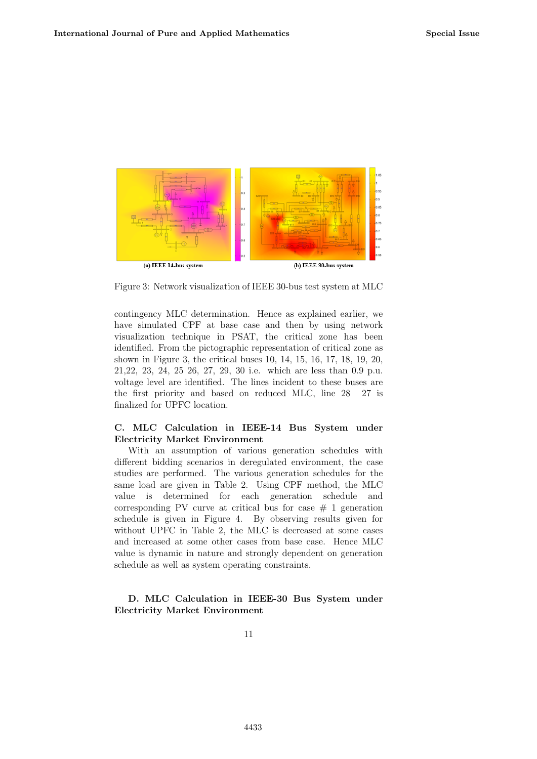

Figure 3: Network visualization of IEEE 30-bus test system at MLC

contingency MLC determination. Hence as explained earlier, we have simulated CPF at base case and then by using network visualization technique in PSAT, the critical zone has been identified. From the pictographic representation of critical zone as shown in Figure 3, the critical buses 10, 14, 15, 16, 17, 18, 19, 20, 21,22, 23, 24, 25 26, 27, 29, 30 i.e. which are less than 0.9 p.u. voltage level are identified. The lines incident to these buses are the first priority and based on reduced MLC, line 28 27 is finalized for UPFC location.

### C. MLC Calculation in IEEE-14 Bus System under Electricity Market Environment

With an assumption of various generation schedules with different bidding scenarios in deregulated environment, the case studies are performed. The various generation schedules for the same load are given in Table 2. Using CPF method, the MLC value is determined for each generation schedule and corresponding PV curve at critical bus for case  $# 1$  generation schedule is given in Figure 4. By observing results given for without UPFC in Table 2, the MLC is decreased at some cases and increased at some other cases from base case. Hence MLC value is dynamic in nature and strongly dependent on generation schedule as well as system operating constraints.

### D. MLC Calculation in IEEE-30 Bus System under Electricity Market Environment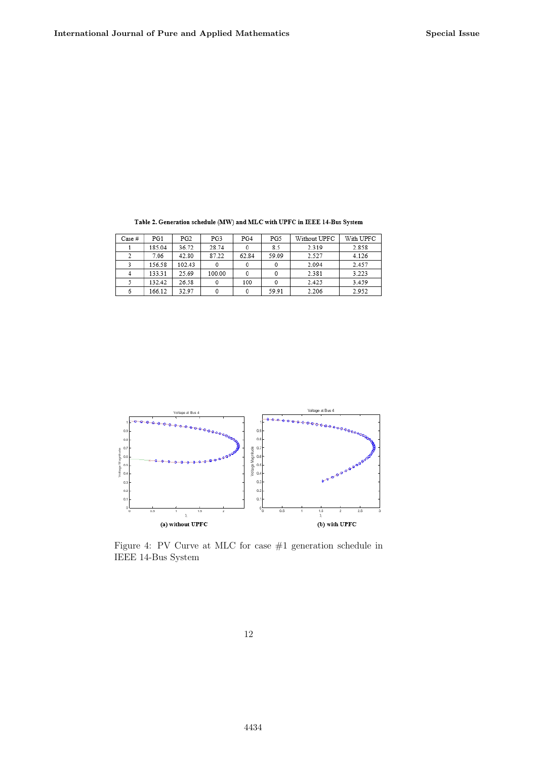| Case # | PG1    | PG2    | PG3    | PG4   | PG5   | Without UPFC | With UPFC |
|--------|--------|--------|--------|-------|-------|--------------|-----------|
|        | 185.04 | 36.72  | 28.74  |       | 8.5   | 2.319        | 2.858     |
|        | 7.06   | 42.80  | 87.22  | 62.84 | 59.09 | 2.527        | 4.126     |
|        | 156.58 | 102.43 |        |       |       | 2.094        | 2.457     |
|        | 133.31 | 25.69  | 100.00 |       |       | 2.381        | 3.223     |
|        | 132.42 | 26.58  |        | 100   |       | 2.425        | 3.459     |
|        | 166.12 | 32.97  |        |       | 59.91 | 2.206        | 2.952     |

Table 2. Generation schedule (MW) and MLC with UPFC in IEEE 14-Bus System



Figure 4: PV Curve at MLC for case #1 generation schedule in IEEE 14-Bus System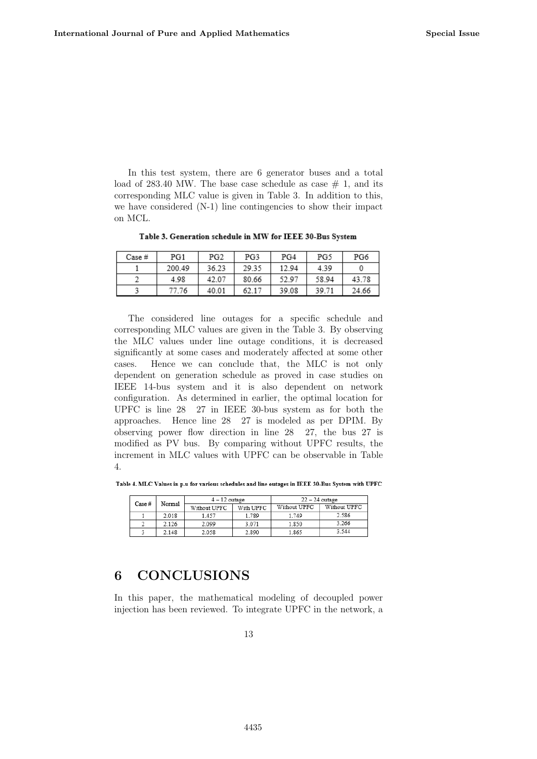In this test system, there are 6 generator buses and a total load of 283.40 MW. The base case schedule as case  $\#$  1, and its corresponding MLC value is given in Table 3. In addition to this, we have considered (N-1) line contingencies to show their impact on MCL.

| Case # | PG1    | PG <sub>2</sub> | PG3   | PG4   | PG5   | PG6   |
|--------|--------|-----------------|-------|-------|-------|-------|
|        | 200.49 | 36.23           | 29.35 | 12.94 | 4.39  |       |
|        | 4.98   | 42.07           | 80.66 | 52.97 | 58.94 | 43.78 |
|        | 77.76  | 40.01           | 62.17 | 39.08 | 39.71 | 24.66 |

Table 3. Generation schedule in MW for IEEE 30-Bus System

The considered line outages for a specific schedule and corresponding MLC values are given in the Table 3. By observing the MLC values under line outage conditions, it is decreased significantly at some cases and moderately affected at some other cases. Hence we can conclude that, the MLC is not only dependent on generation schedule as proved in case studies on IEEE 14-bus system and it is also dependent on network configuration. As determined in earlier, the optimal location for UPFC is line 28 27 in IEEE 30-bus system as for both the approaches. Hence line 28 27 is modeled as per DPIM. By observing power flow direction in line 28 27, the bus 27 is modified as PV bus. By comparing without UPFC results, the increment in MLC values with UPFC can be observable in Table 4.

Table 4. MLC Values in p.u for various schedules and line outages in IEEE 30-Bus System with UPFC

| Case # | Normal | $4 - 12$ outage |           | $22 - 24$ outage |              |  |
|--------|--------|-----------------|-----------|------------------|--------------|--|
|        |        | Without UPFC    | With UPFC | Without UPFC     | Without UPFC |  |
|        | 2.018  | 1.457           | 1.789     | 1.749            | 2.586        |  |
|        | 2.126  | 2.099           | 3.071     | 1.850            | 3.266        |  |
|        | 2.148  | 2.058           | 2.890     | 1.865            | 3.544        |  |

### 6 CONCLUSIONS

In this paper, the mathematical modeling of decoupled power injection has been reviewed. To integrate UPFC in the network, a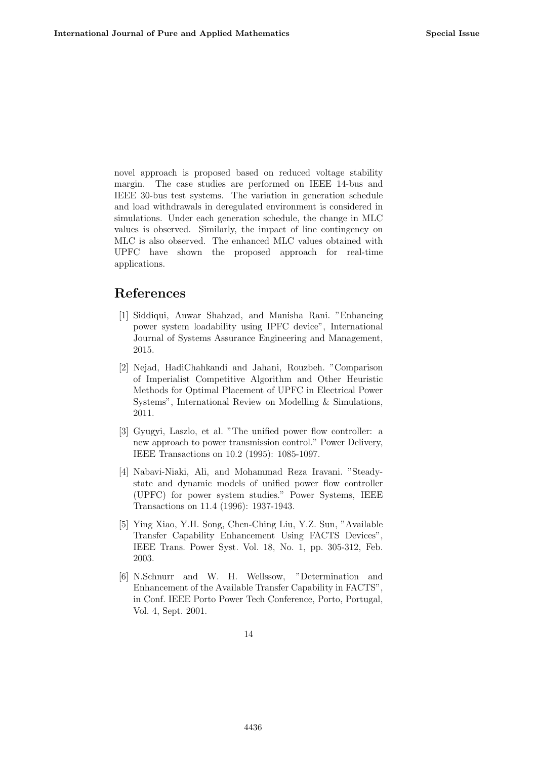novel approach is proposed based on reduced voltage stability margin. The case studies are performed on IEEE 14-bus and IEEE 30-bus test systems. The variation in generation schedule and load withdrawals in deregulated environment is considered in simulations. Under each generation schedule, the change in MLC values is observed. Similarly, the impact of line contingency on MLC is also observed. The enhanced MLC values obtained with UPFC have shown the proposed approach for real-time applications.

# References

- [1] Siddiqui, Anwar Shahzad, and Manisha Rani. "Enhancing power system loadability using IPFC device", International Journal of Systems Assurance Engineering and Management, 2015.
- [2] Nejad, HadiChahkandi and Jahani, Rouzbeh. "Comparison of Imperialist Competitive Algorithm and Other Heuristic Methods for Optimal Placement of UPFC in Electrical Power Systems", International Review on Modelling & Simulations, 2011.
- [3] Gyugyi, Laszlo, et al. "The unified power flow controller: a new approach to power transmission control." Power Delivery, IEEE Transactions on 10.2 (1995): 1085-1097.
- [4] Nabavi-Niaki, Ali, and Mohammad Reza Iravani. "Steadystate and dynamic models of unified power flow controller (UPFC) for power system studies." Power Systems, IEEE Transactions on 11.4 (1996): 1937-1943.
- [5] Ying Xiao, Y.H. Song, Chen-Ching Liu, Y.Z. Sun, "Available Transfer Capability Enhancement Using FACTS Devices", IEEE Trans. Power Syst. Vol. 18, No. 1, pp. 305-312, Feb. 2003.
- [6] N.Schnurr and W. H. Wellssow, "Determination and Enhancement of the Available Transfer Capability in FACTS", in Conf. IEEE Porto Power Tech Conference, Porto, Portugal, Vol. 4, Sept. 2001.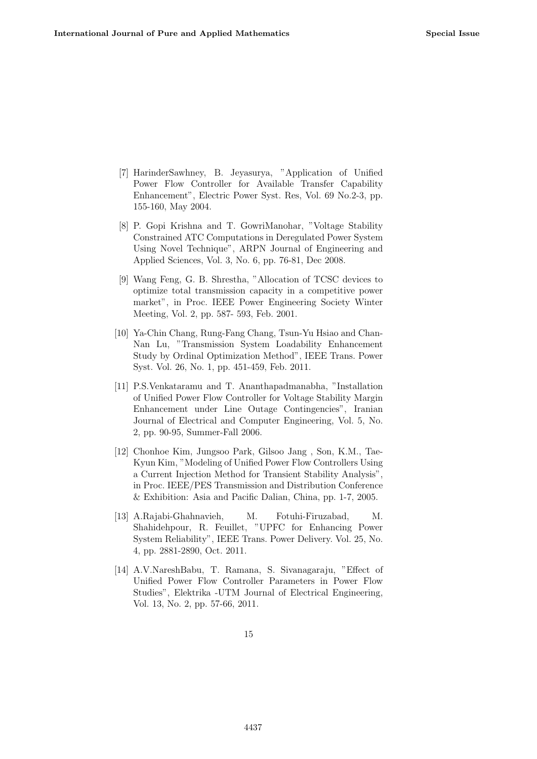- [7] HarinderSawhney, B. Jeyasurya, "Application of Unified Power Flow Controller for Available Transfer Capability Enhancement", Electric Power Syst. Res, Vol. 69 No.2-3, pp. 155-160, May 2004.
- [8] P. Gopi Krishna and T. GowriManohar, "Voltage Stability Constrained ATC Computations in Deregulated Power System Using Novel Technique", ARPN Journal of Engineering and Applied Sciences, Vol. 3, No. 6, pp. 76-81, Dec 2008.
- [9] Wang Feng, G. B. Shrestha, "Allocation of TCSC devices to optimize total transmission capacity in a competitive power market", in Proc. IEEE Power Engineering Society Winter Meeting, Vol. 2, pp. 587- 593, Feb. 2001.
- [10] Ya-Chin Chang, Rung-Fang Chang, Tsun-Yu Hsiao and Chan-Nan Lu, "Transmission System Loadability Enhancement Study by Ordinal Optimization Method", IEEE Trans. Power Syst. Vol. 26, No. 1, pp. 451-459, Feb. 2011.
- [11] P.S.Venkataramu and T. Ananthapadmanabha, "Installation of Unified Power Flow Controller for Voltage Stability Margin Enhancement under Line Outage Contingencies", Iranian Journal of Electrical and Computer Engineering, Vol. 5, No. 2, pp. 90-95, Summer-Fall 2006.
- [12] Chonhoe Kim, Jungsoo Park, Gilsoo Jang , Son, K.M., Tae-Kyun Kim, "Modeling of Unified Power Flow Controllers Using a Current Injection Method for Transient Stability Analysis", in Proc. IEEE/PES Transmission and Distribution Conference & Exhibition: Asia and Pacific Dalian, China, pp. 1-7, 2005.
- [13] A.Rajabi-Ghahnavieh, M. Fotuhi-Firuzabad, M. Shahidehpour, R. Feuillet, "UPFC for Enhancing Power System Reliability", IEEE Trans. Power Delivery. Vol. 25, No. 4, pp. 2881-2890, Oct. 2011.
- [14] A.V.NareshBabu, T. Ramana, S. Sivanagaraju, "Effect of Unified Power Flow Controller Parameters in Power Flow Studies", Elektrika -UTM Journal of Electrical Engineering, Vol. 13, No. 2, pp. 57-66, 2011.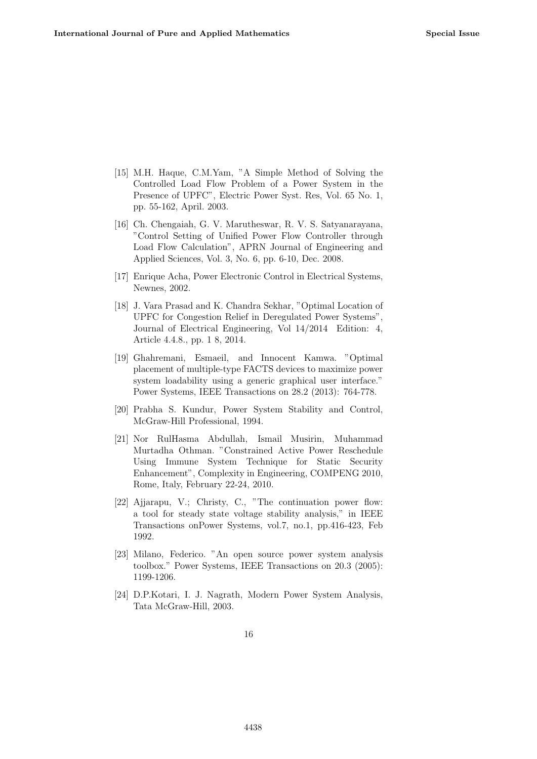- [15] M.H. Haque, C.M.Yam, "A Simple Method of Solving the Controlled Load Flow Problem of a Power System in the Presence of UPFC", Electric Power Syst. Res, Vol. 65 No. 1, pp. 55-162, April. 2003.
- [16] Ch. Chengaiah, G. V. Marutheswar, R. V. S. Satyanarayana, "Control Setting of Unified Power Flow Controller through Load Flow Calculation", APRN Journal of Engineering and Applied Sciences, Vol. 3, No. 6, pp. 6-10, Dec. 2008.
- [17] Enrique Acha, Power Electronic Control in Electrical Systems, Newnes, 2002.
- [18] J. Vara Prasad and K. Chandra Sekhar, "Optimal Location of UPFC for Congestion Relief in Deregulated Power Systems", Journal of Electrical Engineering, Vol 14/2014 Edition: 4, Article 4.4.8., pp. 1 8, 2014.
- [19] Ghahremani, Esmaeil, and Innocent Kamwa. "Optimal placement of multiple-type FACTS devices to maximize power system loadability using a generic graphical user interface." Power Systems, IEEE Transactions on 28.2 (2013): 764-778.
- [20] Prabha S. Kundur, Power System Stability and Control, McGraw-Hill Professional, 1994.
- [21] Nor RulHasma Abdullah, Ismail Musirin, Muhammad Murtadha Othman. "Constrained Active Power Reschedule Using Immune System Technique for Static Security Enhancement", Complexity in Engineering, COMPENG 2010, Rome, Italy, February 22-24, 2010.
- [22] Ajjarapu, V.; Christy, C., "The continuation power flow: a tool for steady state voltage stability analysis," in IEEE Transactions onPower Systems, vol.7, no.1, pp.416-423, Feb 1992.
- [23] Milano, Federico. "An open source power system analysis toolbox." Power Systems, IEEE Transactions on 20.3 (2005): 1199-1206.
- [24] D.P.Kotari, I. J. Nagrath, Modern Power System Analysis, Tata McGraw-Hill, 2003.